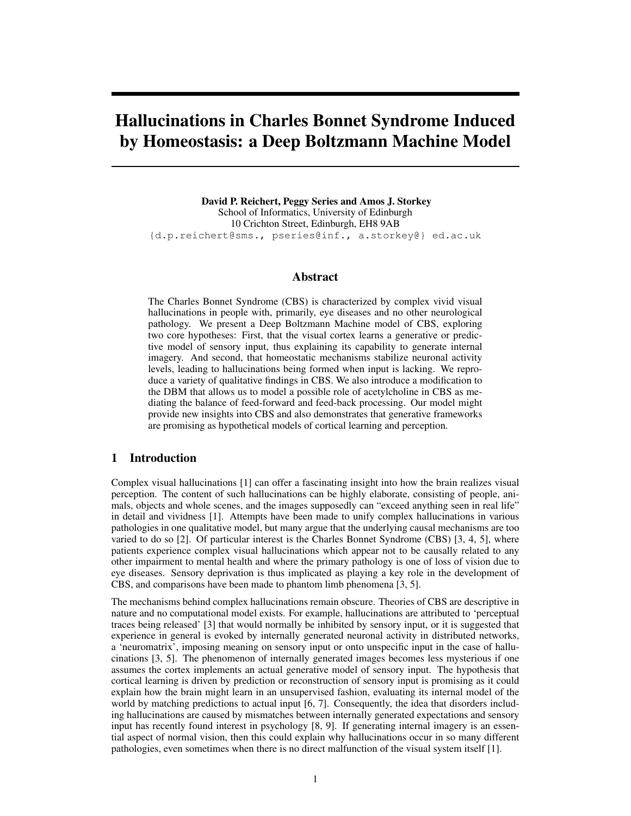# Hallucinations in Charles Bonnet Syndrome Induced by Homeostasis: a Deep Boltzmann Machine Model

David P. Reichert, Peggy Series and Amos J. Storkey School of Informatics, University of Edinburgh 10 Crichton Street, Edinburgh, EH8 9AB {d.p.reichert@sms., pseries@inf., a.storkey@} ed.ac.uk

## Abstract

The Charles Bonnet Syndrome (CBS) is characterized by complex vivid visual hallucinations in people with, primarily, eye diseases and no other neurological pathology. We present a Deep Boltzmann Machine model of CBS, exploring two core hypotheses: First, that the visual cortex learns a generative or predictive model of sensory input, thus explaining its capability to generate internal imagery. And second, that homeostatic mechanisms stabilize neuronal activity levels, leading to hallucinations being formed when input is lacking. We reproduce a variety of qualitative findings in CBS. We also introduce a modification to the DBM that allows us to model a possible role of acetylcholine in CBS as mediating the balance of feed-forward and feed-back processing. Our model might provide new insights into CBS and also demonstrates that generative frameworks are promising as hypothetical models of cortical learning and perception.

# 1 Introduction

Complex visual hallucinations [1] can offer a fascinating insight into how the brain realizes visual perception. The content of such hallucinations can be highly elaborate, consisting of people, animals, objects and whole scenes, and the images supposedly can "exceed anything seen in real life" in detail and vividness [1]. Attempts have been made to unify complex hallucinations in various pathologies in one qualitative model, but many argue that the underlying causal mechanisms are too varied to do so [2]. Of particular interest is the Charles Bonnet Syndrome (CBS) [3, 4, 5], where patients experience complex visual hallucinations which appear not to be causally related to any other impairment to mental health and where the primary pathology is one of loss of vision due to eye diseases. Sensory deprivation is thus implicated as playing a key role in the development of CBS, and comparisons have been made to phantom limb phenomena [3, 5].

The mechanisms behind complex hallucinations remain obscure. Theories of CBS are descriptive in nature and no computational model exists. For example, hallucinations are attributed to 'perceptual traces being released' [3] that would normally be inhibited by sensory input, or it is suggested that experience in general is evoked by internally generated neuronal activity in distributed networks, a 'neuromatrix', imposing meaning on sensory input or onto unspecific input in the case of hallucinations [3, 5]. The phenomenon of internally generated images becomes less mysterious if one assumes the cortex implements an actual generative model of sensory input. The hypothesis that cortical learning is driven by prediction or reconstruction of sensory input is promising as it could explain how the brain might learn in an unsupervised fashion, evaluating its internal model of the world by matching predictions to actual input [6, 7]. Consequently, the idea that disorders including hallucinations are caused by mismatches between internally generated expectations and sensory input has recently found interest in psychology [8, 9]. If generating internal imagery is an essential aspect of normal vision, then this could explain why hallucinations occur in so many different pathologies, even sometimes when there is no direct malfunction of the visual system itself [1].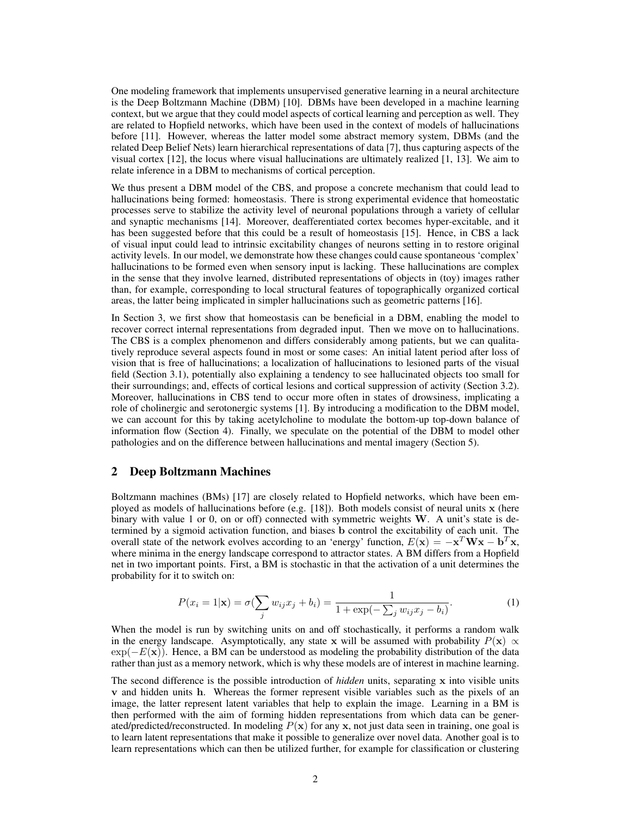One modeling framework that implements unsupervised generative learning in a neural architecture is the Deep Boltzmann Machine (DBM) [10]. DBMs have been developed in a machine learning context, but we argue that they could model aspects of cortical learning and perception as well. They are related to Hopfield networks, which have been used in the context of models of hallucinations before [11]. However, whereas the latter model some abstract memory system, DBMs (and the related Deep Belief Nets) learn hierarchical representations of data [7], thus capturing aspects of the visual cortex [12], the locus where visual hallucinations are ultimately realized [1, 13]. We aim to relate inference in a DBM to mechanisms of cortical perception.

We thus present a DBM model of the CBS, and propose a concrete mechanism that could lead to hallucinations being formed: homeostasis. There is strong experimental evidence that homeostatic processes serve to stabilize the activity level of neuronal populations through a variety of cellular and synaptic mechanisms [14]. Moreover, deafferentiated cortex becomes hyper-excitable, and it has been suggested before that this could be a result of homeostasis [15]. Hence, in CBS a lack of visual input could lead to intrinsic excitability changes of neurons setting in to restore original activity levels. In our model, we demonstrate how these changes could cause spontaneous 'complex' hallucinations to be formed even when sensory input is lacking. These hallucinations are complex in the sense that they involve learned, distributed representations of objects in (toy) images rather than, for example, corresponding to local structural features of topographically organized cortical areas, the latter being implicated in simpler hallucinations such as geometric patterns [16].

In Section 3, we first show that homeostasis can be beneficial in a DBM, enabling the model to recover correct internal representations from degraded input. Then we move on to hallucinations. The CBS is a complex phenomenon and differs considerably among patients, but we can qualitatively reproduce several aspects found in most or some cases: An initial latent period after loss of vision that is free of hallucinations; a localization of hallucinations to lesioned parts of the visual field (Section 3.1), potentially also explaining a tendency to see hallucinated objects too small for their surroundings; and, effects of cortical lesions and cortical suppression of activity (Section 3.2). Moreover, hallucinations in CBS tend to occur more often in states of drowsiness, implicating a role of cholinergic and serotonergic systems [1]. By introducing a modification to the DBM model, we can account for this by taking acetylcholine to modulate the bottom-up top-down balance of information flow (Section 4). Finally, we speculate on the potential of the DBM to model other pathologies and on the difference between hallucinations and mental imagery (Section 5).

## 2 Deep Boltzmann Machines

Boltzmann machines (BMs) [17] are closely related to Hopfield networks, which have been employed as models of hallucinations before (e.g. [18]). Both models consist of neural units x (here binary with value 1 or 0, on or off) connected with symmetric weights  $W$ . A unit's state is determined by a sigmoid activation function, and biases b control the excitability of each unit. The overall state of the network evolves according to an 'energy' function,  $E(\mathbf{x}) = -\mathbf{x}^T \mathbf{W} \mathbf{x} - \mathbf{b}^T \mathbf{x}$ , where minima in the energy landscape correspond to attractor states. A BM differs from a Hopfield net in two important points. First, a BM is stochastic in that the activation of a unit determines the probability for it to switch on:

$$
P(x_i = 1 | \mathbf{x}) = \sigma(\sum_j w_{ij} x_j + b_i) = \frac{1}{1 + \exp(-\sum_j w_{ij} x_j - b_i)}.
$$
 (1)

When the model is run by switching units on and off stochastically, it performs a random walk in the energy landscape. Asymptotically, any state x will be assumed with probability  $P(x) \propto$  $\exp(-E(x))$ . Hence, a BM can be understood as modeling the probability distribution of the data rather than just as a memory network, which is why these models are of interest in machine learning.

The second difference is the possible introduction of *hidden* units, separating x into visible units v and hidden units h. Whereas the former represent visible variables such as the pixels of an image, the latter represent latent variables that help to explain the image. Learning in a BM is then performed with the aim of forming hidden representations from which data can be generated/predicted/reconstructed. In modeling  $P(x)$  for any x, not just data seen in training, one goal is to learn latent representations that make it possible to generalize over novel data. Another goal is to learn representations which can then be utilized further, for example for classification or clustering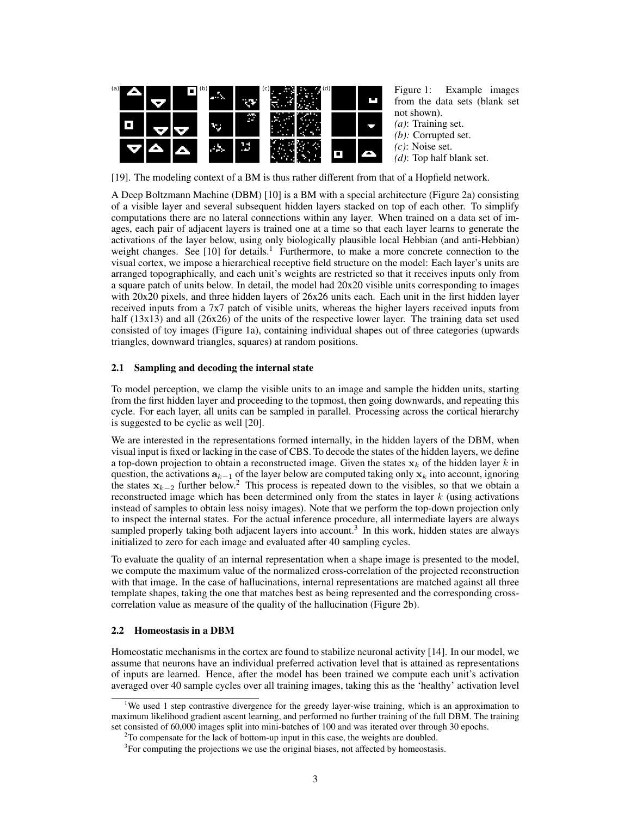

Figure 1: Example images from the data sets (blank set not shown).

- *(a)*: Training set.
- *(b):* Corrupted set.
- *(c)*: Noise set.
- *(d)*: Top half blank set.

[19]. The modeling context of a BM is thus rather different from that of a Hopfield network.

A Deep Boltzmann Machine (DBM) [10] is a BM with a special architecture (Figure 2a) consisting of a visible layer and several subsequent hidden layers stacked on top of each other. To simplify computations there are no lateral connections within any layer. When trained on a data set of images, each pair of adjacent layers is trained one at a time so that each layer learns to generate the activations of the layer below, using only biologically plausible local Hebbian (and anti-Hebbian) weight changes. See  $[10]$  for details.<sup>1</sup> Furthermore, to make a more concrete connection to the visual cortex, we impose a hierarchical receptive field structure on the model: Each layer's units are arranged topographically, and each unit's weights are restricted so that it receives inputs only from a square patch of units below. In detail, the model had 20x20 visible units corresponding to images with 20x20 pixels, and three hidden layers of 26x26 units each. Each unit in the first hidden layer received inputs from a 7x7 patch of visible units, whereas the higher layers received inputs from half (13x13) and all (26x26) of the units of the respective lower layer. The training data set used consisted of toy images (Figure 1a), containing individual shapes out of three categories (upwards triangles, downward triangles, squares) at random positions.

# 2.1 Sampling and decoding the internal state

To model perception, we clamp the visible units to an image and sample the hidden units, starting from the first hidden layer and proceeding to the topmost, then going downwards, and repeating this cycle. For each layer, all units can be sampled in parallel. Processing across the cortical hierarchy is suggested to be cyclic as well [20].

We are interested in the representations formed internally, in the hidden layers of the DBM, when visual input is fixed or lacking in the case of CBS. To decode the states of the hidden layers, we define a top-down projection to obtain a reconstructed image. Given the states  $x_k$  of the hidden layer k in question, the activations  $a_{k-1}$  of the layer below are computed taking only  $x_k$  into account, ignoring the states  $x_{k-2}$  further below.<sup>2</sup> This process is repeated down to the visibles, so that we obtain a reconstructed image which has been determined only from the states in layer  $k$  (using activations instead of samples to obtain less noisy images). Note that we perform the top-down projection only to inspect the internal states. For the actual inference procedure, all intermediate layers are always sampled properly taking both adjacent layers into account.<sup>3</sup> In this work, hidden states are always initialized to zero for each image and evaluated after 40 sampling cycles.

To evaluate the quality of an internal representation when a shape image is presented to the model, we compute the maximum value of the normalized cross-correlation of the projected reconstruction with that image. In the case of hallucinations, internal representations are matched against all three template shapes, taking the one that matches best as being represented and the corresponding crosscorrelation value as measure of the quality of the hallucination (Figure 2b).

# 2.2 Homeostasis in a DBM

Homeostatic mechanisms in the cortex are found to stabilize neuronal activity [14]. In our model, we assume that neurons have an individual preferred activation level that is attained as representations of inputs are learned. Hence, after the model has been trained we compute each unit's activation averaged over 40 sample cycles over all training images, taking this as the 'healthy' activation level

<sup>&</sup>lt;sup>1</sup>We used 1 step contrastive divergence for the greedy layer-wise training, which is an approximation to maximum likelihood gradient ascent learning, and performed no further training of the full DBM. The training set consisted of 60,000 images split into mini-batches of 100 and was iterated over through 30 epochs.

<sup>&</sup>lt;sup>2</sup>To compensate for the lack of bottom-up input in this case, the weights are doubled.

 $3$ For computing the projections we use the original biases, not affected by homeostasis.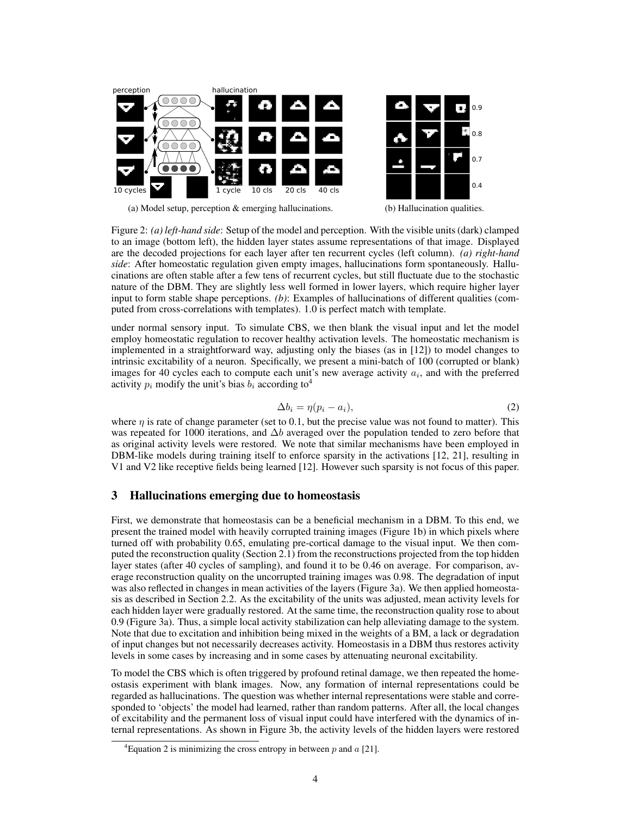

(a) Model setup, perception & emerging hallucinations.

(b) Hallucination qualities.

Figure 2: *(a) left-hand side*: Setup of the model and perception. With the visible units (dark) clamped to an image (bottom left), the hidden layer states assume representations of that image. Displayed are the decoded projections for each layer after ten recurrent cycles (left column). *(a) right-hand side*: After homeostatic regulation given empty images, hallucinations form spontaneously. Hallucinations are often stable after a few tens of recurrent cycles, but still fluctuate due to the stochastic nature of the DBM. They are slightly less well formed in lower layers, which require higher layer input to form stable shape perceptions. *(b)*: Examples of hallucinations of different qualities (computed from cross-correlations with templates). 1.0 is perfect match with template.

under normal sensory input. To simulate CBS, we then blank the visual input and let the model employ homeostatic regulation to recover healthy activation levels. The homeostatic mechanism is implemented in a straightforward way, adjusting only the biases (as in [12]) to model changes to intrinsic excitability of a neuron. Specifically, we present a mini-batch of 100 (corrupted or blank) images for 40 cycles each to compute each unit's new average activity  $a_i$ , and with the preferred activity  $p_i$  modify the unit's bias  $b_i$  according to<sup>4</sup>

$$
\Delta b_i = \eta (p_i - a_i),\tag{2}
$$

where  $\eta$  is rate of change parameter (set to 0.1, but the precise value was not found to matter). This was repeated for 1000 iterations, and  $\Delta b$  averaged over the population tended to zero before that as original activity levels were restored. We note that similar mechanisms have been employed in DBM-like models during training itself to enforce sparsity in the activations [12, 21], resulting in V1 and V2 like receptive fields being learned [12]. However such sparsity is not focus of this paper.

# 3 Hallucinations emerging due to homeostasis

First, we demonstrate that homeostasis can be a beneficial mechanism in a DBM. To this end, we present the trained model with heavily corrupted training images (Figure 1b) in which pixels where turned off with probability 0.65, emulating pre-cortical damage to the visual input. We then computed the reconstruction quality (Section 2.1) from the reconstructions projected from the top hidden layer states (after 40 cycles of sampling), and found it to be 0.46 on average. For comparison, average reconstruction quality on the uncorrupted training images was 0.98. The degradation of input was also reflected in changes in mean activities of the layers (Figure 3a). We then applied homeostasis as described in Section 2.2. As the excitability of the units was adjusted, mean activity levels for each hidden layer were gradually restored. At the same time, the reconstruction quality rose to about 0.9 (Figure 3a). Thus, a simple local activity stabilization can help alleviating damage to the system. Note that due to excitation and inhibition being mixed in the weights of a BM, a lack or degradation of input changes but not necessarily decreases activity. Homeostasis in a DBM thus restores activity levels in some cases by increasing and in some cases by attenuating neuronal excitability.

To model the CBS which is often triggered by profound retinal damage, we then repeated the homeostasis experiment with blank images. Now, any formation of internal representations could be regarded as hallucinations. The question was whether internal representations were stable and corresponded to 'objects' the model had learned, rather than random patterns. After all, the local changes of excitability and the permanent loss of visual input could have interfered with the dynamics of internal representations. As shown in Figure 3b, the activity levels of the hidden layers were restored

<sup>&</sup>lt;sup>4</sup>Equation 2 is minimizing the cross entropy in between  $p$  and  $a$  [21].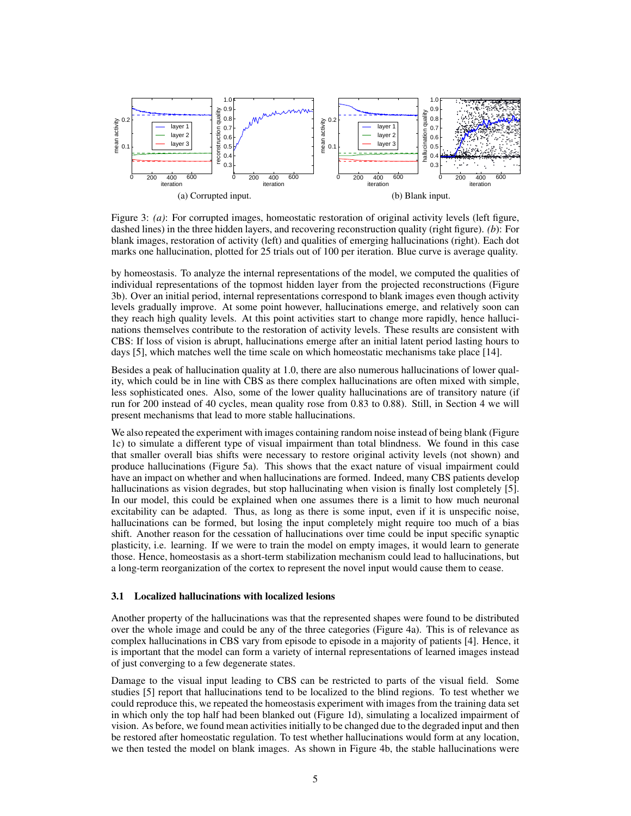

Figure 3: *(a)*: For corrupted images, homeostatic restoration of original activity levels (left figure, dashed lines) in the three hidden layers, and recovering reconstruction quality (right figure). *(b*): For blank images, restoration of activity (left) and qualities of emerging hallucinations (right). Each dot marks one hallucination, plotted for 25 trials out of 100 per iteration. Blue curve is average quality.

by homeostasis. To analyze the internal representations of the model, we computed the qualities of individual representations of the topmost hidden layer from the projected reconstructions (Figure 3b). Over an initial period, internal representations correspond to blank images even though activity levels gradually improve. At some point however, hallucinations emerge, and relatively soon can they reach high quality levels. At this point activities start to change more rapidly, hence hallucinations themselves contribute to the restoration of activity levels. These results are consistent with CBS: If loss of vision is abrupt, hallucinations emerge after an initial latent period lasting hours to days [5], which matches well the time scale on which homeostatic mechanisms take place [14].

Besides a peak of hallucination quality at 1.0, there are also numerous hallucinations of lower quality, which could be in line with CBS as there complex hallucinations are often mixed with simple, less sophisticated ones. Also, some of the lower quality hallucinations are of transitory nature (if run for 200 instead of 40 cycles, mean quality rose from 0.83 to 0.88). Still, in Section 4 we will present mechanisms that lead to more stable hallucinations.

We also repeated the experiment with images containing random noise instead of being blank (Figure 1c) to simulate a different type of visual impairment than total blindness. We found in this case that smaller overall bias shifts were necessary to restore original activity levels (not shown) and produce hallucinations (Figure 5a). This shows that the exact nature of visual impairment could have an impact on whether and when hallucinations are formed. Indeed, many CBS patients develop hallucinations as vision degrades, but stop hallucinating when vision is finally lost completely [5]. In our model, this could be explained when one assumes there is a limit to how much neuronal excitability can be adapted. Thus, as long as there is some input, even if it is unspecific noise, hallucinations can be formed, but losing the input completely might require too much of a bias shift. Another reason for the cessation of hallucinations over time could be input specific synaptic plasticity, i.e. learning. If we were to train the model on empty images, it would learn to generate those. Hence, homeostasis as a short-term stabilization mechanism could lead to hallucinations, but a long-term reorganization of the cortex to represent the novel input would cause them to cease.

#### 3.1 Localized hallucinations with localized lesions

Another property of the hallucinations was that the represented shapes were found to be distributed over the whole image and could be any of the three categories (Figure 4a). This is of relevance as complex hallucinations in CBS vary from episode to episode in a majority of patients [4]. Hence, it is important that the model can form a variety of internal representations of learned images instead of just converging to a few degenerate states.

Damage to the visual input leading to CBS can be restricted to parts of the visual field. Some studies [5] report that hallucinations tend to be localized to the blind regions. To test whether we could reproduce this, we repeated the homeostasis experiment with images from the training data set in which only the top half had been blanked out (Figure 1d), simulating a localized impairment of vision. As before, we found mean activities initially to be changed due to the degraded input and then be restored after homeostatic regulation. To test whether hallucinations would form at any location, we then tested the model on blank images. As shown in Figure 4b, the stable hallucinations were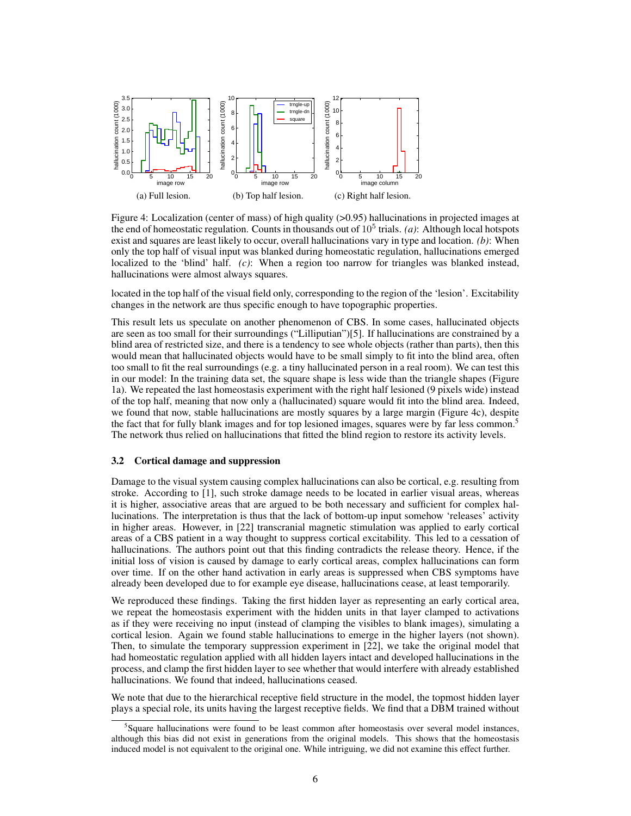

Figure 4: Localization (center of mass) of high quality (>0.95) hallucinations in projected images at the end of homeostatic regulation. Counts in thousands out of  $10<sup>5</sup>$  trials. *(a)*: Although local hotspots exist and squares are least likely to occur, overall hallucinations vary in type and location. *(b)*: When only the top half of visual input was blanked during homeostatic regulation, hallucinations emerged localized to the 'blind' half. *(c)*: When a region too narrow for triangles was blanked instead, hallucinations were almost always squares.

located in the top half of the visual field only, corresponding to the region of the 'lesion'. Excitability changes in the network are thus specific enough to have topographic properties.

This result lets us speculate on another phenomenon of CBS. In some cases, hallucinated objects are seen as too small for their surroundings ("Lilliputian")[5]. If hallucinations are constrained by a blind area of restricted size, and there is a tendency to see whole objects (rather than parts), then this would mean that hallucinated objects would have to be small simply to fit into the blind area, often too small to fit the real surroundings (e.g. a tiny hallucinated person in a real room). We can test this in our model: In the training data set, the square shape is less wide than the triangle shapes (Figure 1a). We repeated the last homeostasis experiment with the right half lesioned (9 pixels wide) instead of the top half, meaning that now only a (hallucinated) square would fit into the blind area. Indeed, we found that now, stable hallucinations are mostly squares by a large margin (Figure 4c), despite the fact that for fully blank images and for top lesioned images, squares were by far less common.<sup>5</sup> The network thus relied on hallucinations that fitted the blind region to restore its activity levels.

#### 3.2 Cortical damage and suppression

Damage to the visual system causing complex hallucinations can also be cortical, e.g. resulting from stroke. According to [1], such stroke damage needs to be located in earlier visual areas, whereas it is higher, associative areas that are argued to be both necessary and sufficient for complex hallucinations. The interpretation is thus that the lack of bottom-up input somehow 'releases' activity in higher areas. However, in [22] transcranial magnetic stimulation was applied to early cortical areas of a CBS patient in a way thought to suppress cortical excitability. This led to a cessation of hallucinations. The authors point out that this finding contradicts the release theory. Hence, if the initial loss of vision is caused by damage to early cortical areas, complex hallucinations can form over time. If on the other hand activation in early areas is suppressed when CBS symptoms have already been developed due to for example eye disease, hallucinations cease, at least temporarily.

We reproduced these findings. Taking the first hidden layer as representing an early cortical area, we repeat the homeostasis experiment with the hidden units in that layer clamped to activations as if they were receiving no input (instead of clamping the visibles to blank images), simulating a cortical lesion. Again we found stable hallucinations to emerge in the higher layers (not shown). Then, to simulate the temporary suppression experiment in [22], we take the original model that had homeostatic regulation applied with all hidden layers intact and developed hallucinations in the process, and clamp the first hidden layer to see whether that would interfere with already established hallucinations. We found that indeed, hallucinations ceased.

We note that due to the hierarchical receptive field structure in the model, the topmost hidden layer plays a special role, its units having the largest receptive fields. We find that a DBM trained without

<sup>5</sup> Square hallucinations were found to be least common after homeostasis over several model instances, although this bias did not exist in generations from the original models. This shows that the homeostasis induced model is not equivalent to the original one. While intriguing, we did not examine this effect further.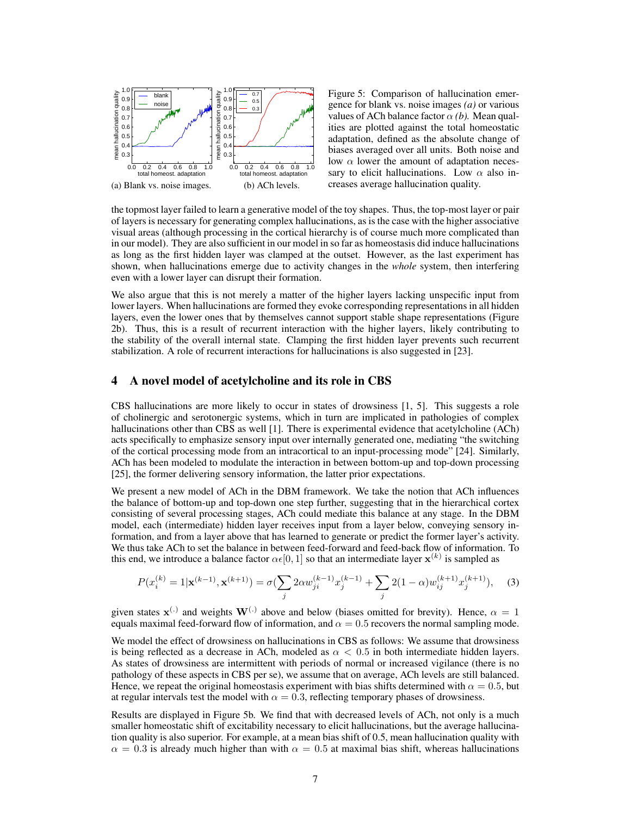

Figure 5: Comparison of hallucination emergence for blank vs. noise images *(a)* or various values of ACh balance factor  $\alpha$  *(b)*. Mean qualities are plotted against the total homeostatic adaptation, defined as the absolute change of biases averaged over all units. Both noise and low  $\alpha$  lower the amount of adaptation necessary to elicit hallucinations. Low  $\alpha$  also increases average hallucination quality.

the topmost layer failed to learn a generative model of the toy shapes. Thus, the top-most layer or pair of layers is necessary for generating complex hallucinations, as is the case with the higher associative visual areas (although processing in the cortical hierarchy is of course much more complicated than in our model). They are also sufficient in our model in so far as homeostasis did induce hallucinations as long as the first hidden layer was clamped at the outset. However, as the last experiment has shown, when hallucinations emerge due to activity changes in the *whole* system, then interfering even with a lower layer can disrupt their formation.

We also argue that this is not merely a matter of the higher layers lacking unspecific input from lower layers. When hallucinations are formed they evoke corresponding representations in all hidden layers, even the lower ones that by themselves cannot support stable shape representations (Figure 2b). Thus, this is a result of recurrent interaction with the higher layers, likely contributing to the stability of the overall internal state. Clamping the first hidden layer prevents such recurrent stabilization. A role of recurrent interactions for hallucinations is also suggested in [23].

## 4 A novel model of acetylcholine and its role in CBS

CBS hallucinations are more likely to occur in states of drowsiness [1, 5]. This suggests a role of cholinergic and serotonergic systems, which in turn are implicated in pathologies of complex hallucinations other than CBS as well [1]. There is experimental evidence that acetylcholine (ACh) acts specifically to emphasize sensory input over internally generated one, mediating "the switching of the cortical processing mode from an intracortical to an input-processing mode" [24]. Similarly, ACh has been modeled to modulate the interaction in between bottom-up and top-down processing [25], the former delivering sensory information, the latter prior expectations.

We present a new model of ACh in the DBM framework. We take the notion that ACh influences the balance of bottom-up and top-down one step further, suggesting that in the hierarchical cortex consisting of several processing stages, ACh could mediate this balance at any stage. In the DBM model, each (intermediate) hidden layer receives input from a layer below, conveying sensory information, and from a layer above that has learned to generate or predict the former layer's activity. We thus take ACh to set the balance in between feed-forward and feed-back flow of information. To this end, we introduce a balance factor  $\alpha \in [0, 1]$  so that an intermediate layer  $\mathbf{x}^{(k)}$  is sampled as

$$
P(x_i^{(k)} = 1 | \mathbf{x}^{(k-1)}, \mathbf{x}^{(k+1)}) = \sigma(\sum_j 2\alpha w_{ji}^{(k-1)} x_j^{(k-1)} + \sum_j 2(1-\alpha)w_{ij}^{(k+1)} x_j^{(k+1)}), \quad (3)
$$

given states  $\mathbf{x}^{(.)}$  and weights  $\mathbf{W}^{(.)}$  above and below (biases omitted for brevity). Hence,  $\alpha = 1$ equals maximal feed-forward flow of information, and  $\alpha = 0.5$  recovers the normal sampling mode.

We model the effect of drowsiness on hallucinations in CBS as follows: We assume that drowsiness is being reflected as a decrease in ACh, modeled as  $\alpha < 0.5$  in both intermediate hidden layers. As states of drowsiness are intermittent with periods of normal or increased vigilance (there is no pathology of these aspects in CBS per se), we assume that on average, ACh levels are still balanced. Hence, we repeat the original homeostasis experiment with bias shifts determined with  $\alpha = 0.5$ , but at regular intervals test the model with  $\alpha = 0.3$ , reflecting temporary phases of drowsiness.

Results are displayed in Figure 5b. We find that with decreased levels of ACh, not only is a much smaller homeostatic shift of excitability necessary to elicit hallucinations, but the average hallucination quality is also superior. For example, at a mean bias shift of 0.5, mean hallucination quality with  $\alpha = 0.3$  is already much higher than with  $\alpha = 0.5$  at maximal bias shift, whereas hallucinations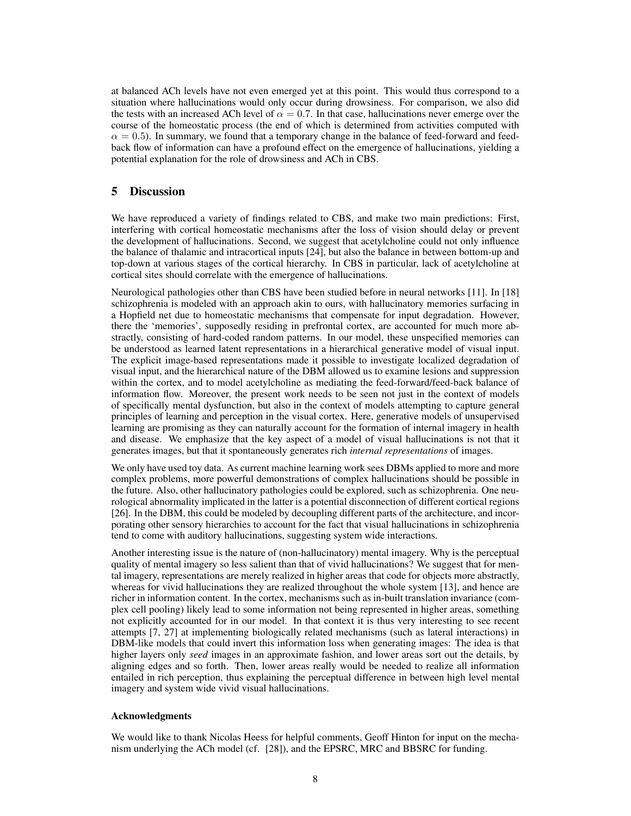at balanced ACh levels have not even emerged yet at this point. This would thus correspond to a situation where hallucinations would only occur during drowsiness. For comparison, we also did the tests with an increased ACh level of  $\alpha = 0.7$ . In that case, hallucinations never emerge over the course of the homeostatic process (the end of which is determined from activities computed with  $\alpha = 0.5$ ). In summary, we found that a temporary change in the balance of feed-forward and feedback flow of information can have a profound effect on the emergence of hallucinations, yielding a potential explanation for the role of drowsiness and ACh in CBS.

# 5 Discussion

We have reproduced a variety of findings related to CBS, and make two main predictions: First, interfering with cortical homeostatic mechanisms after the loss of vision should delay or prevent the development of hallucinations. Second, we suggest that acetylcholine could not only influence the balance of thalamic and intracortical inputs [24], but also the balance in between bottom-up and top-down at various stages of the cortical hierarchy. In CBS in particular, lack of acetylcholine at cortical sites should correlate with the emergence of hallucinations.

Neurological pathologies other than CBS have been studied before in neural networks [11]. In [18] schizophrenia is modeled with an approach akin to ours, with hallucinatory memories surfacing in a Hopfield net due to homeostatic mechanisms that compensate for input degradation. However, there the 'memories', supposedly residing in prefrontal cortex, are accounted for much more abstractly, consisting of hard-coded random patterns. In our model, these unspecified memories can be understood as learned latent representations in a hierarchical generative model of visual input. The explicit image-based representations made it possible to investigate localized degradation of visual input, and the hierarchical nature of the DBM allowed us to examine lesions and suppression within the cortex, and to model acetylcholine as mediating the feed-forward/feed-back balance of information flow. Moreover, the present work needs to be seen not just in the context of models of specifically mental dysfunction, but also in the context of models attempting to capture general principles of learning and perception in the visual cortex. Here, generative models of unsupervised learning are promising as they can naturally account for the formation of internal imagery in health and disease. We emphasize that the key aspect of a model of visual hallucinations is not that it generates images, but that it spontaneously generates rich *internal representations* of images.

We only have used toy data. As current machine learning work sees DBMs applied to more and more complex problems, more powerful demonstrations of complex hallucinations should be possible in the future. Also, other hallucinatory pathologies could be explored, such as schizophrenia. One neurological abnormality implicated in the latter is a potential disconnection of different cortical regions [26]. In the DBM, this could be modeled by decoupling different parts of the architecture, and incorporating other sensory hierarchies to account for the fact that visual hallucinations in schizophrenia tend to come with auditory hallucinations, suggesting system wide interactions.

Another interesting issue is the nature of (non-hallucinatory) mental imagery. Why is the perceptual quality of mental imagery so less salient than that of vivid hallucinations? We suggest that for mental imagery, representations are merely realized in higher areas that code for objects more abstractly, whereas for vivid hallucinations they are realized throughout the whole system [13], and hence are richer in information content. In the cortex, mechanisms such as in-built translation invariance (complex cell pooling) likely lead to some information not being represented in higher areas, something not explicitly accounted for in our model. In that context it is thus very interesting to see recent attempts [7, 27] at implementing biologically related mechanisms (such as lateral interactions) in DBM-like models that could invert this information loss when generating images: The idea is that higher layers only *seed* images in an approximate fashion, and lower areas sort out the details, by aligning edges and so forth. Then, lower areas really would be needed to realize all information entailed in rich perception, thus explaining the perceptual difference in between high level mental imagery and system wide vivid visual hallucinations.

## Acknowledgments

We would like to thank Nicolas Heess for helpful comments, Geoff Hinton for input on the mechanism underlying the ACh model (cf. [28]), and the EPSRC, MRC and BBSRC for funding.